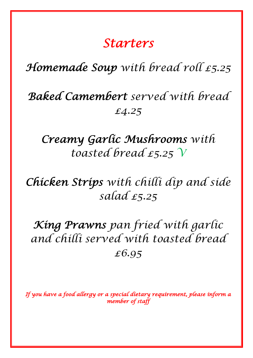## *Starters*

## *Homemade Soup with bread roll £5.25*

# *Baked Camembert served with bread £4.25*

## *Creamy Garlic Mushrooms with toasted bread £5.25 V*

## *Chicken Strips with chilli dip and side salad £5.25*

# *King Prawns pan fried with garlic and chilli served with toasted bread £6.95*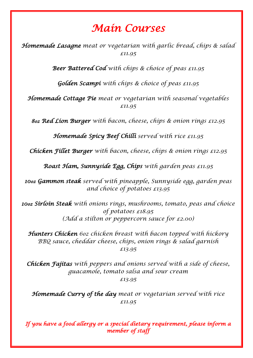## *Main Courses*

*Homemade Lasagne meat or vegetarian with garlic bread, chips & salad £11.95*

*Beer Battered Cod with chips & choice of peas £11.95*

*Golden Scampi with chips & choice of peas £11.95*

*Homemade Cottage Pie meat or vegetarian with seasonal vegetables £11.95*

*8oz Red Lion Burger with bacon, cheese, chips & onion rings £12.95*

*Homemade Spicy Beef Chilli served with rice £11.95*

*Chicken Fillet Burger with bacon, cheese, chips & onion rings £12.95*

*Roast Ham, Sunnyside Egg, Chips with garden peas £11.95*

*10oz Gammon steak served with pineapple, Sunnyside egg, garden peas and choice of potatoes £13.95*

*10oz Sirloin Steak with onions rings, mushrooms, tomato, peas and choice of potatoes £18.95 (Add a stilton or peppercorn sauce for £2.00)*

*Hunters Chicken 6oz chicken breast with bacon topped with hickory BBQ sauce, cheddar cheese, chips, onion rings & salad garnish £13.95*

*Chicken Fajitas with peppers and onions served with a side of cheese, guacamole, tomato salsa and sour cream £13.95*

*Homemade Curry of the day meat or vegetarian served with rice £11.95*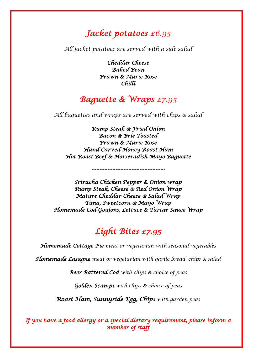#### *Jacket potatoes £6.95*

*All jacket potatoes are served with a side salad*

*Cheddar Cheese Baked Bean Prawn & Marie Rose Chilli* 

### *Baguette & Wraps £7.95*

*All baguettes and wraps are served with chips & salad*

*Rump Steak & Fried Onion Bacon & Brie Toasted Prawn & Marie Rose Hand Carved Honey Roast Ham Hot Roast Beef & Horseradish Mayo Baguette* 

*----------------------------------------------*

*Sriracha Chicken Pepper & Onion wrap Rump Steak, Cheese & Red Onion Wrap Mature Cheddar Cheese & Salad Wrap Tuna, Sweetcorn & Mayo Wrap Homemade Cod Goujons, Lettuce & Tartar Sauce Wrap* 

#### *Light Bites £7.95*

*Homemade Cottage Pie meat or vegetarian with seasonal vegetables*

*Homemade Lasagne meat or vegetarian with garlic bread, chips & salad*

*Beer Battered Cod with chips & choice of peas*

*Golden Scampi with chips & choice of peas*

*Roast Ham, Sunnyside Egg, Chips with garden peas*